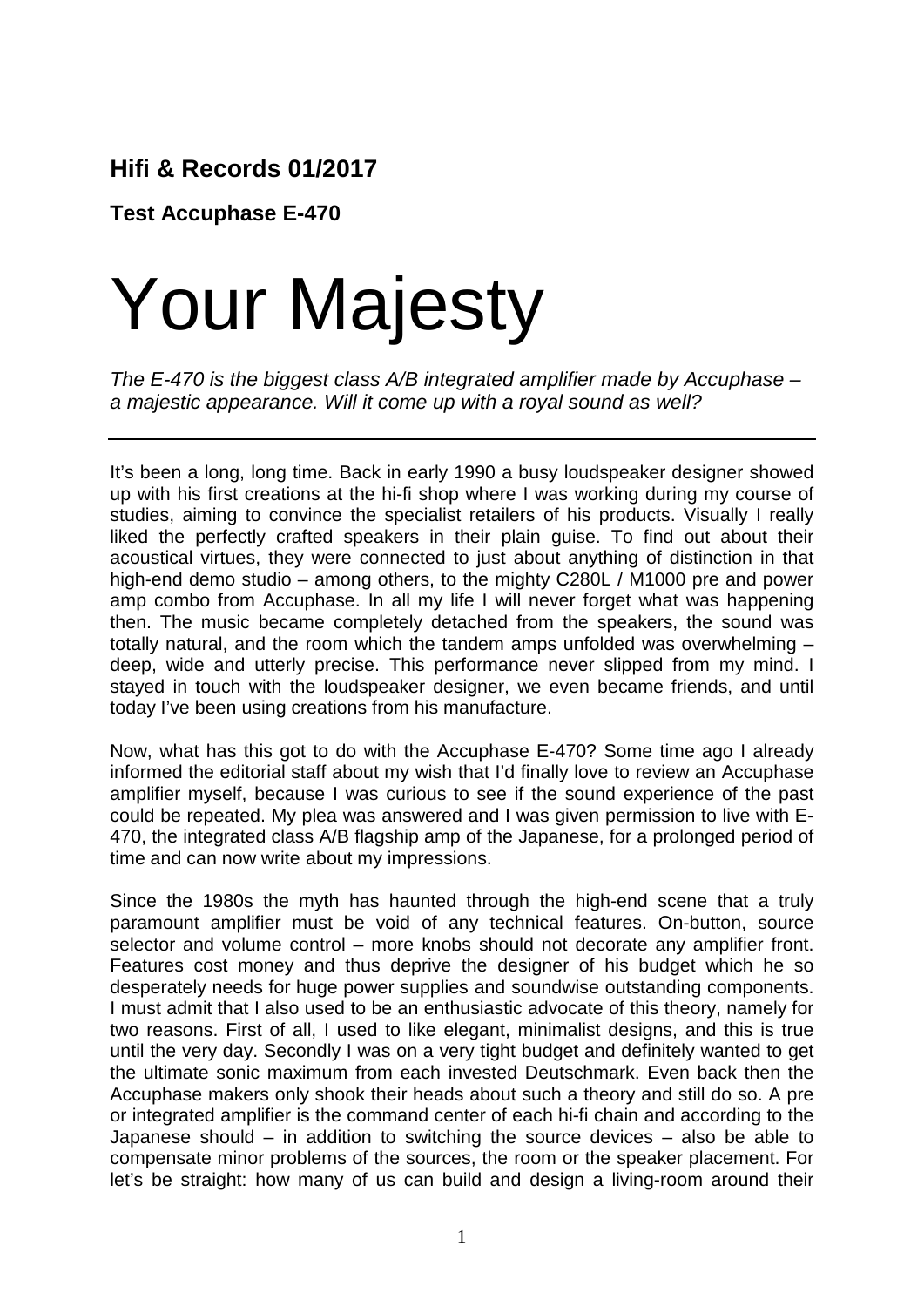## **Hifi & Records 01/2017**

**Test Accuphase E-470**

## Your Majesty

*The E-470 is the biggest class A/B integrated amplifier made by Accuphase – a majestic appearance. Will it come up with a royal sound as well?*

It's been a long, long time. Back in early 1990 a busy loudspeaker designer showed up with his first creations at the hi-fi shop where I was working during my course of studies, aiming to convince the specialist retailers of his products. Visually I really liked the perfectly crafted speakers in their plain guise. To find out about their acoustical virtues, they were connected to just about anything of distinction in that high-end demo studio – among others, to the mighty C280L / M1000 pre and power amp combo from Accuphase. In all my life I will never forget what was happening then. The music became completely detached from the speakers, the sound was totally natural, and the room which the tandem amps unfolded was overwhelming – deep, wide and utterly precise. This performance never slipped from my mind. I stayed in touch with the loudspeaker designer, we even became friends, and until today I've been using creations from his manufacture.

Now, what has this got to do with the Accuphase E-470? Some time ago I already informed the editorial staff about my wish that I'd finally love to review an Accuphase amplifier myself, because I was curious to see if the sound experience of the past could be repeated. My plea was answered and I was given permission to live with E-470, the integrated class A/B flagship amp of the Japanese, for a prolonged period of time and can now write about my impressions.

Since the 1980s the myth has haunted through the high-end scene that a truly paramount amplifier must be void of any technical features. On-button, source selector and volume control – more knobs should not decorate any amplifier front. Features cost money and thus deprive the designer of his budget which he so desperately needs for huge power supplies and soundwise outstanding components. I must admit that I also used to be an enthusiastic advocate of this theory, namely for two reasons. First of all, I used to like elegant, minimalist designs, and this is true until the very day. Secondly I was on a very tight budget and definitely wanted to get the ultimate sonic maximum from each invested Deutschmark. Even back then the Accuphase makers only shook their heads about such a theory and still do so. A pre or integrated amplifier is the command center of each hi-fi chain and according to the Japanese should – in addition to switching the source devices – also be able to compensate minor problems of the sources, the room or the speaker placement. For let's be straight: how many of us can build and design a living-room around their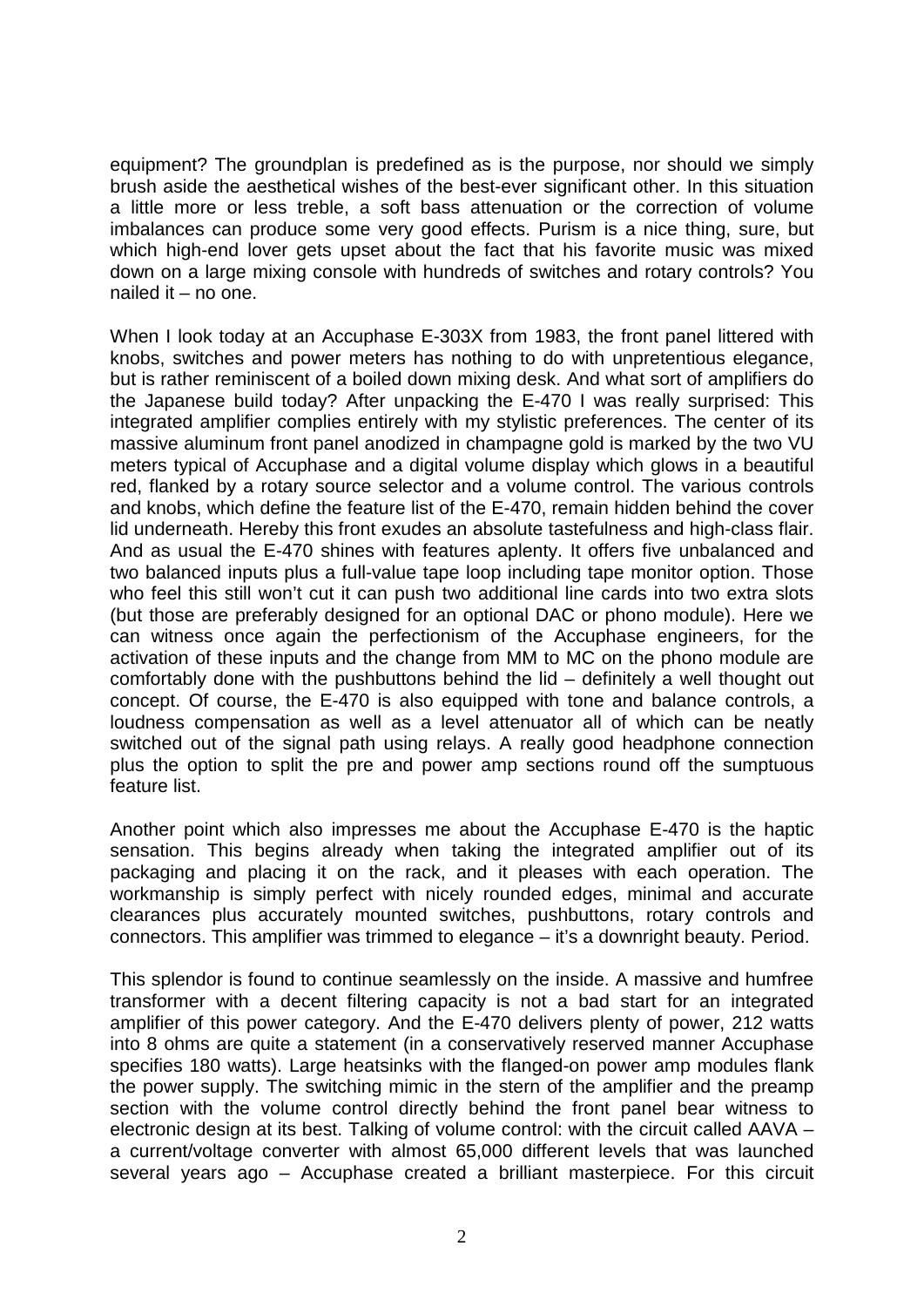equipment? The groundplan is predefined as is the purpose, nor should we simply brush aside the aesthetical wishes of the best-ever significant other. In this situation a little more or less treble, a soft bass attenuation or the correction of volume imbalances can produce some very good effects. Purism is a nice thing, sure, but which high-end lover gets upset about the fact that his favorite music was mixed down on a large mixing console with hundreds of switches and rotary controls? You nailed it – no one.

When I look today at an Accuphase E-303X from 1983, the front panel littered with knobs, switches and power meters has nothing to do with unpretentious elegance, but is rather reminiscent of a boiled down mixing desk. And what sort of amplifiers do the Japanese build today? After unpacking the E-470 I was really surprised: This integrated amplifier complies entirely with my stylistic preferences. The center of its massive aluminum front panel anodized in champagne gold is marked by the two VU meters typical of Accuphase and a digital volume display which glows in a beautiful red, flanked by a rotary source selector and a volume control. The various controls and knobs, which define the feature list of the E-470, remain hidden behind the cover lid underneath. Hereby this front exudes an absolute tastefulness and high-class flair. And as usual the E-470 shines with features aplenty. It offers five unbalanced and two balanced inputs plus a full-value tape loop including tape monitor option. Those who feel this still won't cut it can push two additional line cards into two extra slots (but those are preferably designed for an optional DAC or phono module). Here we can witness once again the perfectionism of the Accuphase engineers, for the activation of these inputs and the change from MM to MC on the phono module are comfortably done with the pushbuttons behind the lid – definitely a well thought out concept. Of course, the E-470 is also equipped with tone and balance controls, a loudness compensation as well as a level attenuator all of which can be neatly switched out of the signal path using relays. A really good headphone connection plus the option to split the pre and power amp sections round off the sumptuous feature list.

Another point which also impresses me about the Accuphase E-470 is the haptic sensation. This begins already when taking the integrated amplifier out of its packaging and placing it on the rack, and it pleases with each operation. The workmanship is simply perfect with nicely rounded edges, minimal and accurate clearances plus accurately mounted switches, pushbuttons, rotary controls and connectors. This amplifier was trimmed to elegance – it's a downright beauty. Period.

This splendor is found to continue seamlessly on the inside. A massive and humfree transformer with a decent filtering capacity is not a bad start for an integrated amplifier of this power category. And the E-470 delivers plenty of power, 212 watts into 8 ohms are quite a statement (in a conservatively reserved manner Accuphase specifies 180 watts). Large heatsinks with the flanged-on power amp modules flank the power supply. The switching mimic in the stern of the amplifier and the preamp section with the volume control directly behind the front panel bear witness to electronic design at its best. Talking of volume control: with the circuit called AAVA – a current/voltage converter with almost 65,000 different levels that was launched several years ago – Accuphase created a brilliant masterpiece. For this circuit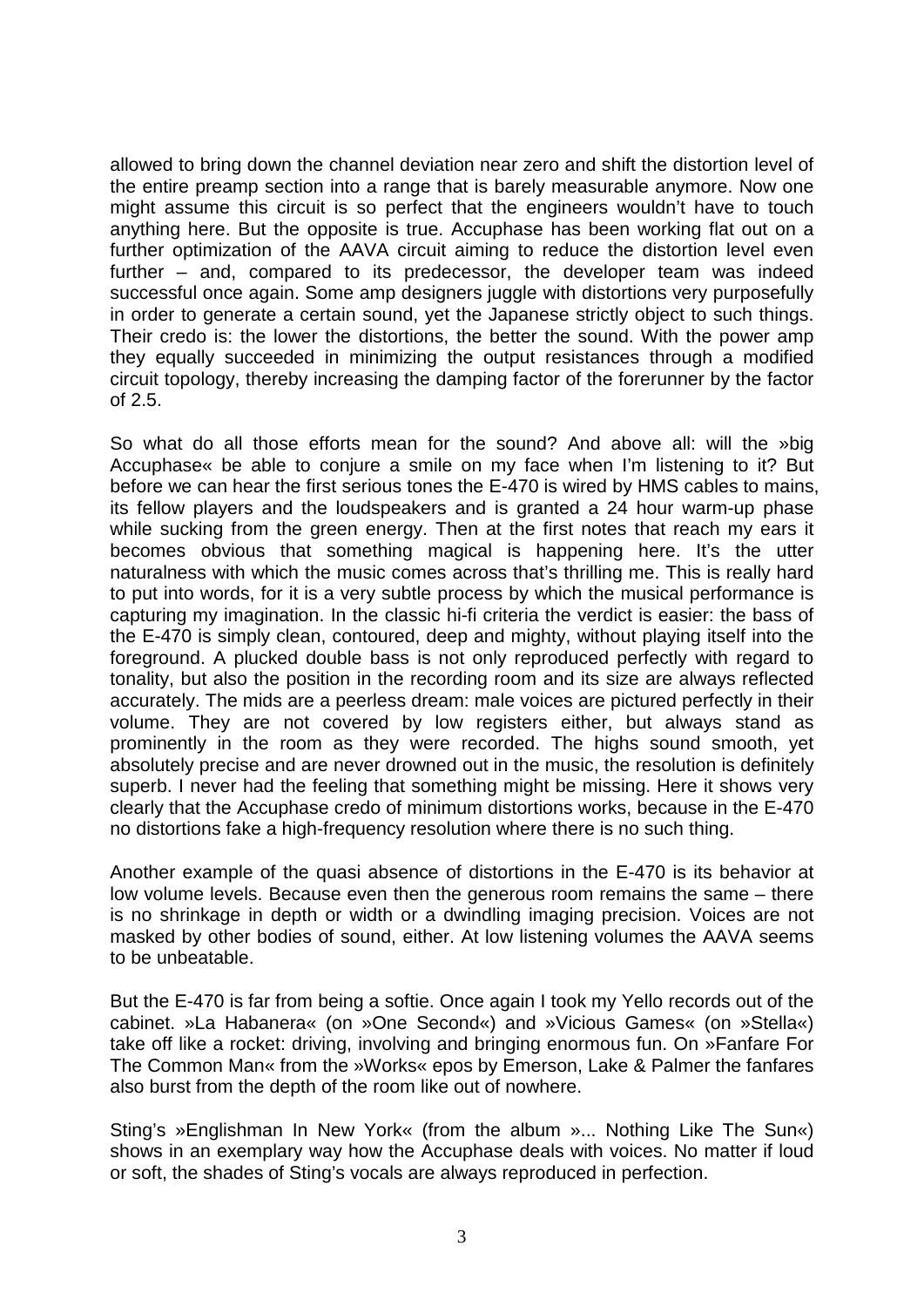allowed to bring down the channel deviation near zero and shift the distortion level of the entire preamp section into a range that is barely measurable anymore. Now one might assume this circuit is so perfect that the engineers wouldn't have to touch anything here. But the opposite is true. Accuphase has been working flat out on a further optimization of the AAVA circuit aiming to reduce the distortion level even further – and, compared to its predecessor, the developer team was indeed successful once again. Some amp designers juggle with distortions very purposefully in order to generate a certain sound, yet the Japanese strictly object to such things. Their credo is: the lower the distortions, the better the sound. With the power amp they equally succeeded in minimizing the output resistances through a modified circuit topology, thereby increasing the damping factor of the forerunner by the factor of 2.5.

So what do all those efforts mean for the sound? And above all: will the »big Accuphase« be able to conjure a smile on my face when I'm listening to it? But before we can hear the first serious tones the E-470 is wired by HMS cables to mains, its fellow players and the loudspeakers and is granted a 24 hour warm-up phase while sucking from the green energy. Then at the first notes that reach my ears it becomes obvious that something magical is happening here. It's the utter naturalness with which the music comes across that's thrilling me. This is really hard to put into words, for it is a very subtle process by which the musical performance is capturing my imagination. In the classic hi-fi criteria the verdict is easier: the bass of the E-470 is simply clean, contoured, deep and mighty, without playing itself into the foreground. A plucked double bass is not only reproduced perfectly with regard to tonality, but also the position in the recording room and its size are always reflected accurately. The mids are a peerless dream: male voices are pictured perfectly in their volume. They are not covered by low registers either, but always stand as prominently in the room as they were recorded. The highs sound smooth, yet absolutely precise and are never drowned out in the music, the resolution is definitely superb. I never had the feeling that something might be missing. Here it shows very clearly that the Accuphase credo of minimum distortions works, because in the E-470 no distortions fake a high-frequency resolution where there is no such thing.

Another example of the quasi absence of distortions in the E-470 is its behavior at low volume levels. Because even then the generous room remains the same – there is no shrinkage in depth or width or a dwindling imaging precision. Voices are not masked by other bodies of sound, either. At low listening volumes the AAVA seems to be unbeatable.

But the E-470 is far from being a softie. Once again I took my Yello records out of the cabinet. »La Habanera« (on »One Second«) and »Vicious Games« (on »Stella«) take off like a rocket: driving, involving and bringing enormous fun. On »Fanfare For The Common Man« from the »Works« epos by Emerson, Lake & Palmer the fanfares also burst from the depth of the room like out of nowhere.

Sting's »Englishman In New York« (from the album »... Nothing Like The Sun«) shows in an exemplary way how the Accuphase deals with voices. No matter if loud or soft, the shades of Sting's vocals are always reproduced in perfection.